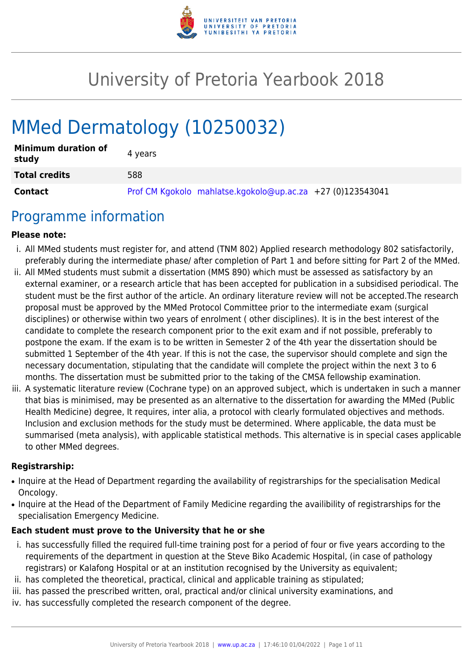

# University of Pretoria Yearbook 2018

# MMed Dermatology (10250032)

| <b>Minimum duration of</b><br>study | 4 years                                                    |
|-------------------------------------|------------------------------------------------------------|
| <b>Total credits</b>                | 588                                                        |
| <b>Contact</b>                      | Prof CM Kgokolo mahlatse.kgokolo@up.ac.za +27 (0)123543041 |

## Programme information

#### **Please note:**

- i. All MMed students must register for, and attend (TNM 802) Applied research methodology 802 satisfactorily, preferably during the intermediate phase/ after completion of Part 1 and before sitting for Part 2 of the MMed.
- ii. All MMed students must submit a dissertation (MMS 890) which must be assessed as satisfactory by an external examiner, or a research article that has been accepted for publication in a subsidised periodical. The student must be the first author of the article. An ordinary literature review will not be accepted.The research proposal must be approved by the MMed Protocol Committee prior to the intermediate exam (surgical disciplines) or otherwise within two years of enrolment ( other disciplines). It is in the best interest of the candidate to complete the research component prior to the exit exam and if not possible, preferably to postpone the exam. If the exam is to be written in Semester 2 of the 4th year the dissertation should be submitted 1 September of the 4th year. If this is not the case, the supervisor should complete and sign the necessary documentation, stipulating that the candidate will complete the project within the next 3 to 6 months. The dissertation must be submitted prior to the taking of the CMSA fellowship examination.
- iii. A systematic literature review (Cochrane type) on an approved subject, which is undertaken in such a manner that bias is minimised, may be presented as an alternative to the dissertation for awarding the MMed (Public Health Medicine) degree, It requires, inter alia, a protocol with clearly formulated objectives and methods. Inclusion and exclusion methods for the study must be determined. Where applicable, the data must be summarised (meta analysis), with applicable statistical methods. This alternative is in special cases applicable to other MMed degrees.

#### **Registrarship:**

- Inquire at the Head of Department regarding the availability of registrarships for the specialisation Medical Oncology.
- Inquire at the Head of the Department of Family Medicine regarding the availibility of registrarships for the specialisation Emergency Medicine.

#### **Each student must prove to the University that he or she**

- i. has successfully filled the required full-time training post for a period of four or five years according to the requirements of the department in question at the Steve Biko Academic Hospital, (in case of pathology registrars) or Kalafong Hospital or at an institution recognised by the University as equivalent;
- ii. has completed the theoretical, practical, clinical and applicable training as stipulated;
- iii. has passed the prescribed written, oral, practical and/or clinical university examinations, and
- iv. has successfully completed the research component of the degree.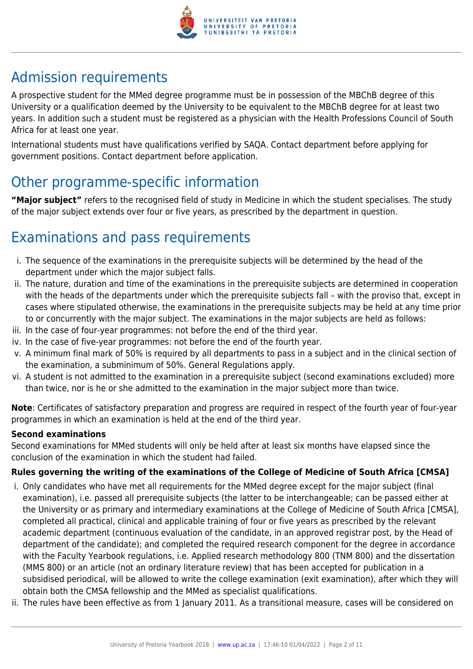

## Admission requirements

A prospective student for the MMed degree programme must be in possession of the MBChB degree of this University or a qualification deemed by the University to be equivalent to the MBChB degree for at least two years. In addition such a student must be registered as a physician with the Health Professions Council of South Africa for at least one year.

International students must have qualifications verified by SAQA. Contact department before applying for government positions. Contact department before application.

## Other programme-specific information

**"Major subject"** refers to the recognised field of study in Medicine in which the student specialises. The study of the major subject extends over four or five years, as prescribed by the department in question.

## Examinations and pass requirements

- i. The sequence of the examinations in the prerequisite subjects will be determined by the head of the department under which the major subject falls.
- ii. The nature, duration and time of the examinations in the prerequisite subjects are determined in cooperation with the heads of the departments under which the prerequisite subjects fall – with the proviso that, except in cases where stipulated otherwise, the examinations in the prerequisite subjects may be held at any time prior to or concurrently with the major subject. The examinations in the major subjects are held as follows:
- iii. In the case of four-year programmes: not before the end of the third year.
- iv. In the case of five-year programmes: not before the end of the fourth year.
- v. A minimum final mark of 50% is required by all departments to pass in a subject and in the clinical section of the examination, a subminimum of 50%. General Regulations apply.
- vi. A student is not admitted to the examination in a prerequisite subject (second examinations excluded) more than twice, nor is he or she admitted to the examination in the major subject more than twice.

**Note**: Certificates of satisfactory preparation and progress are required in respect of the fourth year of four-year programmes in which an examination is held at the end of the third year.

#### **Second examinations**

Second examinations for MMed students will only be held after at least six months have elapsed since the conclusion of the examination in which the student had failed.

### **Rules governing the writing of the examinations of the College of Medicine of South Africa [CMSA]**

- i. Only candidates who have met all requirements for the MMed degree except for the major subject (final examination), i.e. passed all prerequisite subjects (the latter to be interchangeable; can be passed either at the University or as primary and intermediary examinations at the College of Medicine of South Africa [CMSA], completed all practical, clinical and applicable training of four or five years as prescribed by the relevant academic department (continuous evaluation of the candidate, in an approved registrar post, by the Head of department of the candidate); and completed the required research component for the degree in accordance with the Faculty Yearbook regulations, i.e. Applied research methodology 800 (TNM 800) and the dissertation (MMS 800) or an article (not an ordinary literature review) that has been accepted for publication in a subsidised periodical, will be allowed to write the college examination (exit examination), after which they will obtain both the CMSA fellowship and the MMed as specialist qualifications.
- ii. The rules have been effective as from 1 January 2011. As a transitional measure, cases will be considered on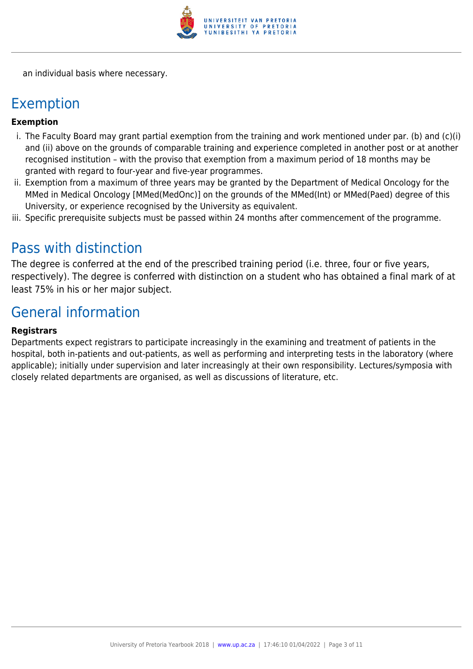

an individual basis where necessary.

## Exemption

#### **Exemption**

- i. The Faculty Board may grant partial exemption from the training and work mentioned under par. (b) and (c)(i) and (ii) above on the grounds of comparable training and experience completed in another post or at another recognised institution – with the proviso that exemption from a maximum period of 18 months may be granted with regard to four-year and five-year programmes.
- ii. Exemption from a maximum of three years may be granted by the Department of Medical Oncology for the MMed in Medical Oncology [MMed(MedOnc)] on the grounds of the MMed(Int) or MMed(Paed) degree of this University, or experience recognised by the University as equivalent.
- iii. Specific prerequisite subjects must be passed within 24 months after commencement of the programme.

## Pass with distinction

The degree is conferred at the end of the prescribed training period (i.e. three, four or five years, respectively). The degree is conferred with distinction on a student who has obtained a final mark of at least 75% in his or her major subject.

## General information

#### **Registrars**

Departments expect registrars to participate increasingly in the examining and treatment of patients in the hospital, both in-patients and out-patients, as well as performing and interpreting tests in the laboratory (where applicable); initially under supervision and later increasingly at their own responsibility. Lectures/symposia with closely related departments are organised, as well as discussions of literature, etc.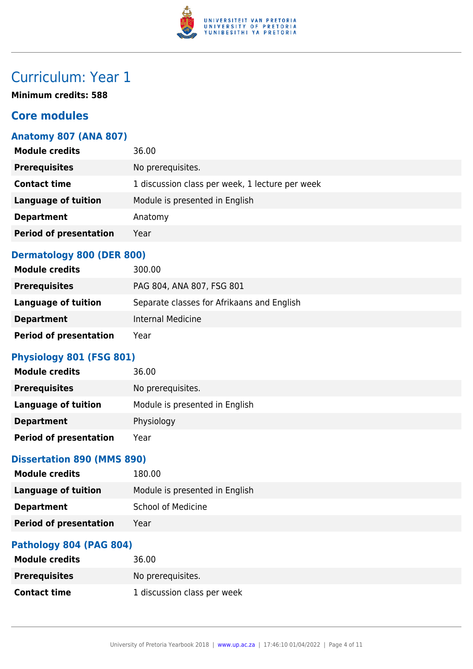

## Curriculum: Year 1

**Minimum credits: 588**

## **Core modules**

### **Anatomy 807 (ANA 807)**

| <b>Module credits</b>         | 36.00                                           |
|-------------------------------|-------------------------------------------------|
| <b>Prerequisites</b>          | No prerequisites.                               |
| <b>Contact time</b>           | 1 discussion class per week, 1 lecture per week |
| <b>Language of tuition</b>    | Module is presented in English                  |
| <b>Department</b>             | Anatomy                                         |
| <b>Period of presentation</b> | Year                                            |
|                               |                                                 |

## **Dermatology 800 (DER 800)**

| <b>Module credits</b>         | 300.00                                     |
|-------------------------------|--------------------------------------------|
| <b>Prerequisites</b>          | PAG 804, ANA 807, FSG 801                  |
| Language of tuition           | Separate classes for Afrikaans and English |
| <b>Department</b>             | Internal Medicine                          |
| <b>Period of presentation</b> | Year                                       |

## **Physiology 801 (FSG 801)**

| <b>Module credits</b>         | 36.00                          |
|-------------------------------|--------------------------------|
| <b>Prerequisites</b>          | No prerequisites.              |
| <b>Language of tuition</b>    | Module is presented in English |
| <b>Department</b>             | Physiology                     |
| <b>Period of presentation</b> | Year                           |

### **Dissertation 890 (MMS 890)**

| <b>Module credits</b>         | 180.00                         |
|-------------------------------|--------------------------------|
| <b>Language of tuition</b>    | Module is presented in English |
| <b>Department</b>             | <b>School of Medicine</b>      |
| <b>Period of presentation</b> | Year                           |
|                               |                                |

### **Pathology 804 (PAG 804)**

| <b>Module credits</b> | 36.00                       |
|-----------------------|-----------------------------|
| <b>Prerequisites</b>  | No prereguisites.           |
| <b>Contact time</b>   | 1 discussion class per week |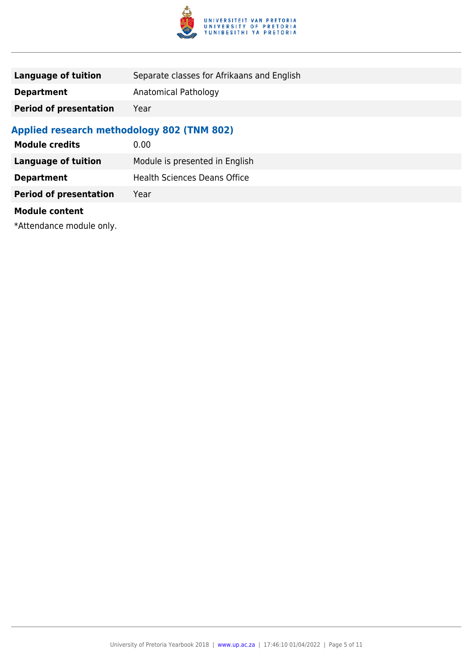

| <b>Language of tuition</b>                        | Separate classes for Afrikaans and English |  |
|---------------------------------------------------|--------------------------------------------|--|
| <b>Department</b>                                 | Anatomical Pathology                       |  |
| <b>Period of presentation</b>                     | Year                                       |  |
| <b>Applied research methodology 802 (TNM 802)</b> |                                            |  |
| <b>Module credits</b>                             | 0.00                                       |  |
| Language of tuition                               | Module is presented in English             |  |
| <b>Department</b>                                 | <b>Health Sciences Deans Office</b>        |  |
| <b>Period of presentation</b>                     | Year                                       |  |
|                                                   |                                            |  |

#### **Module content**

\*Attendance module only.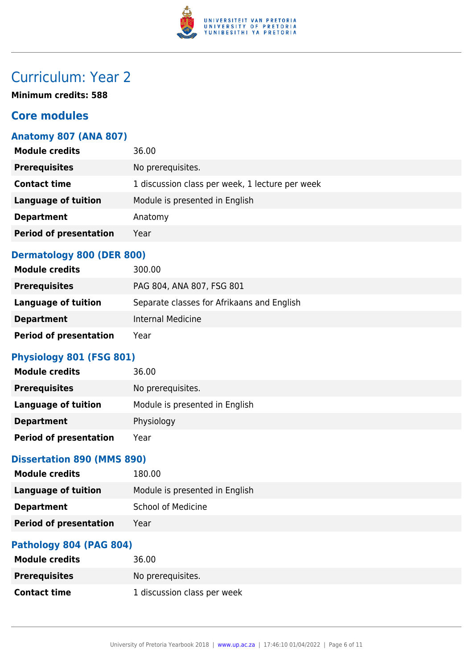

## Curriculum: Year 2

**Minimum credits: 588**

## **Core modules**

### **Anatomy 807 (ANA 807)**

| <b>Module credits</b>         | 36.00                                           |
|-------------------------------|-------------------------------------------------|
| <b>Prerequisites</b>          | No prerequisites.                               |
| <b>Contact time</b>           | 1 discussion class per week, 1 lecture per week |
| <b>Language of tuition</b>    | Module is presented in English                  |
| <b>Department</b>             | Anatomy                                         |
| <b>Period of presentation</b> | Year                                            |
|                               |                                                 |

#### **Dermatology 800 (DER 800)**

| <b>Module credits</b>         | 300.00                                     |
|-------------------------------|--------------------------------------------|
| <b>Prerequisites</b>          | PAG 804, ANA 807, FSG 801                  |
| Language of tuition           | Separate classes for Afrikaans and English |
| <b>Department</b>             | Internal Medicine                          |
| <b>Period of presentation</b> | Year                                       |

## **Physiology 801 (FSG 801)**

| <b>Module credits</b>         | 36.00                          |
|-------------------------------|--------------------------------|
| <b>Prerequisites</b>          | No prerequisites.              |
| <b>Language of tuition</b>    | Module is presented in English |
| <b>Department</b>             | Physiology                     |
| <b>Period of presentation</b> | Year                           |

### **Dissertation 890 (MMS 890)**

| <b>Module credits</b>         | 180.00                         |
|-------------------------------|--------------------------------|
| <b>Language of tuition</b>    | Module is presented in English |
| <b>Department</b>             | <b>School of Medicine</b>      |
| <b>Period of presentation</b> | Year                           |
|                               |                                |

### **Pathology 804 (PAG 804)**

| <b>Module credits</b> | 36.00                       |
|-----------------------|-----------------------------|
| <b>Prerequisites</b>  | No prereguisites.           |
| <b>Contact time</b>   | 1 discussion class per week |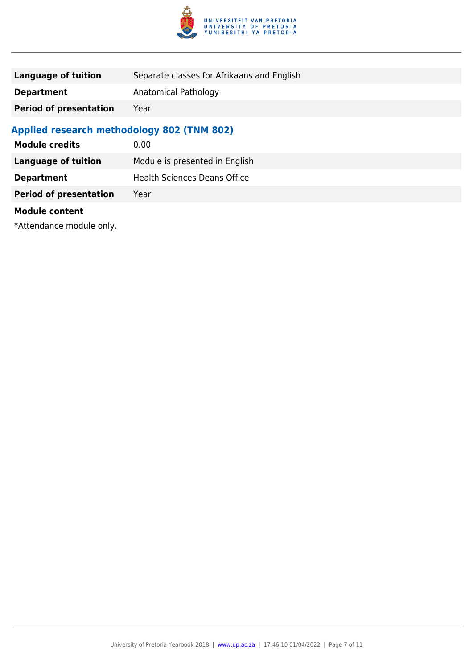

| <b>Language of tuition</b>                        | Separate classes for Afrikaans and English |
|---------------------------------------------------|--------------------------------------------|
| <b>Department</b>                                 | Anatomical Pathology                       |
| <b>Period of presentation</b>                     | Year                                       |
| <b>Applied research methodology 802 (TNM 802)</b> |                                            |
| <b>Module credits</b>                             | 0.00                                       |
| Language of tuition                               | Module is presented in English             |
| <b>Department</b>                                 | <b>Health Sciences Deans Office</b>        |
| <b>Period of presentation</b>                     | Year                                       |
|                                                   |                                            |

#### **Module content**

\*Attendance module only.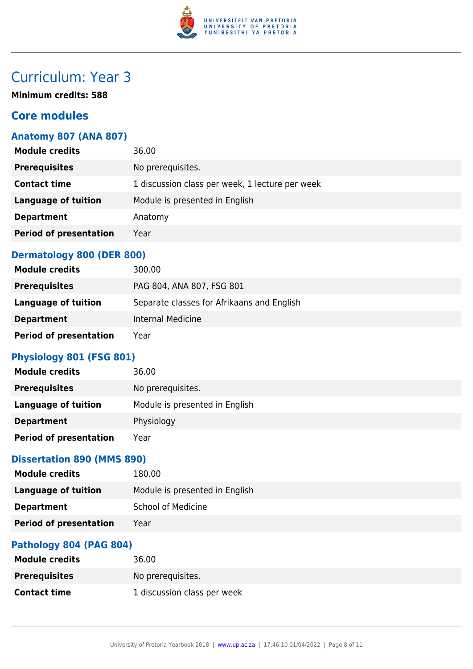

## Curriculum: Year 3

**Minimum credits: 588**

## **Core modules**

### **Anatomy 807 (ANA 807)**

| <b>Module credits</b>         | 36.00                                           |
|-------------------------------|-------------------------------------------------|
| <b>Prerequisites</b>          | No prerequisites.                               |
| <b>Contact time</b>           | 1 discussion class per week, 1 lecture per week |
| <b>Language of tuition</b>    | Module is presented in English                  |
| <b>Department</b>             | Anatomy                                         |
| <b>Period of presentation</b> | Year                                            |
|                               |                                                 |

#### **Dermatology 800 (DER 800)**

| <b>Module credits</b>         | 300.00                                     |
|-------------------------------|--------------------------------------------|
| <b>Prerequisites</b>          | PAG 804, ANA 807, FSG 801                  |
| Language of tuition           | Separate classes for Afrikaans and English |
| <b>Department</b>             | Internal Medicine                          |
| <b>Period of presentation</b> | Year                                       |

## **Physiology 801 (FSG 801)**

| <b>Module credits</b>         | 36.00                          |
|-------------------------------|--------------------------------|
| <b>Prerequisites</b>          | No prerequisites.              |
| <b>Language of tuition</b>    | Module is presented in English |
| <b>Department</b>             | Physiology                     |
| <b>Period of presentation</b> | Year                           |

### **Dissertation 890 (MMS 890)**

| <b>Module credits</b>         | 180.00                         |
|-------------------------------|--------------------------------|
| <b>Language of tuition</b>    | Module is presented in English |
| <b>Department</b>             | <b>School of Medicine</b>      |
| <b>Period of presentation</b> | Year                           |
|                               |                                |

### **Pathology 804 (PAG 804)**

| <b>Module credits</b> | 36.00                       |
|-----------------------|-----------------------------|
| <b>Prerequisites</b>  | No prereguisites.           |
| <b>Contact time</b>   | 1 discussion class per week |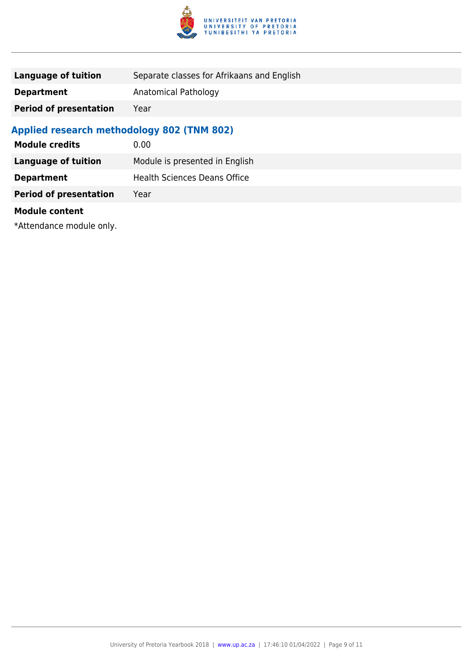

| <b>Language of tuition</b>                        | Separate classes for Afrikaans and English |
|---------------------------------------------------|--------------------------------------------|
| <b>Department</b>                                 | Anatomical Pathology                       |
| <b>Period of presentation</b>                     | Year                                       |
| <b>Applied research methodology 802 (TNM 802)</b> |                                            |
| <b>Module credits</b>                             | 0.00                                       |
| Language of tuition                               | Module is presented in English             |
| <b>Department</b>                                 | <b>Health Sciences Deans Office</b>        |
| <b>Period of presentation</b>                     | Year                                       |
|                                                   |                                            |

#### **Module content**

\*Attendance module only.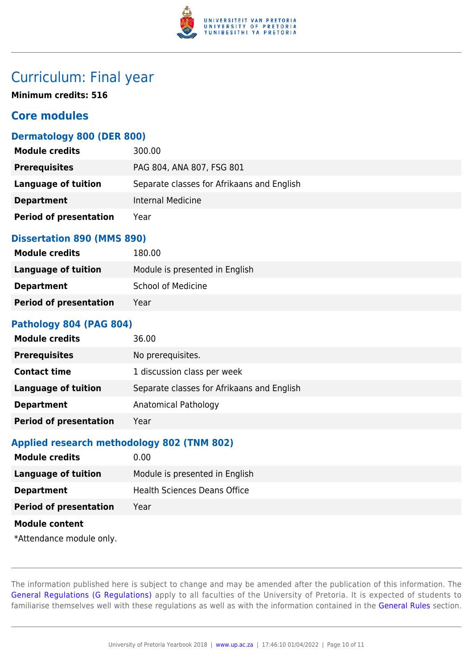

## Curriculum: Final year

**Minimum credits: 516**

## **Core modules**

#### **Dermatology 800 (DER 800)**

| <b>Module credits</b>         | 300.00                                     |
|-------------------------------|--------------------------------------------|
| <b>Prerequisites</b>          | PAG 804, ANA 807, FSG 801                  |
| Language of tuition           | Separate classes for Afrikaans and English |
| <b>Department</b>             | Internal Medicine                          |
| <b>Period of presentation</b> | Year                                       |

#### **Dissertation 890 (MMS 890)**

| <b>Module credits</b>         | 180.00                         |
|-------------------------------|--------------------------------|
| Language of tuition           | Module is presented in English |
| <b>Department</b>             | <b>School of Medicine</b>      |
| <b>Period of presentation</b> | Year                           |

#### **Pathology 804 (PAG 804)**

| <b>Module credits</b>         | 36.00                                      |
|-------------------------------|--------------------------------------------|
| <b>Prerequisites</b>          | No prerequisites.                          |
| <b>Contact time</b>           | 1 discussion class per week                |
| <b>Language of tuition</b>    | Separate classes for Afrikaans and English |
| <b>Department</b>             | Anatomical Pathology                       |
| <b>Period of presentation</b> | Year                                       |

#### **Applied research methodology 802 (TNM 802)**

| <b>Module credits</b>         | 0.00                                |
|-------------------------------|-------------------------------------|
| <b>Language of tuition</b>    | Module is presented in English      |
| <b>Department</b>             | <b>Health Sciences Deans Office</b> |
| <b>Period of presentation</b> | Year                                |
| <b>Module content</b>         |                                     |
| *Attendance module only.      |                                     |

The information published here is subject to change and may be amended after the publication of this information. The [General Regulations \(G Regulations\)](https://www.up.ac.za/yearbooks/2018/rules/view/REG) apply to all faculties of the University of Pretoria. It is expected of students to familiarise themselves well with these regulations as well as with the information contained in the [General Rules](https://www.up.ac.za/yearbooks/2018/rules/view/RUL) section.